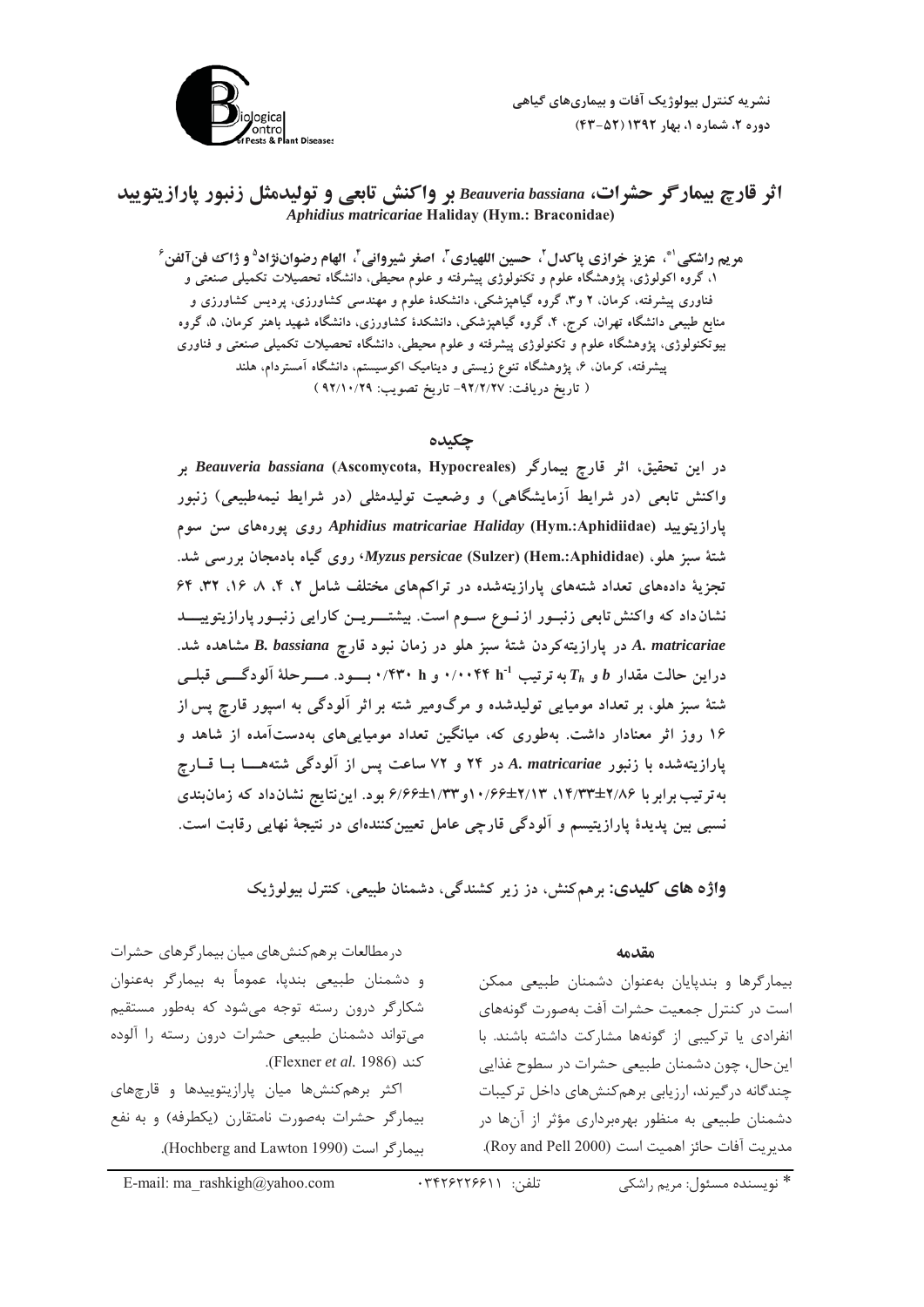

# اثر قارچ بیمارگر حشرات، Beauveria bassiana بر واکنش تابعی و تولیدمثل زنبور یارازیتویید *Aphidius matricariae* **Haliday (Hym.: Braconidae)**

مردم داشكي<sup>. ف</sup>ي عزيز خرازي باكدل<sup>1</sup>، حسن اللهباري<sup>7</sup>، اصغر شيرواني<sup>1</sup>، العام دضوان: اد<sup>0</sup> و ژاك فن آلفن<sup>9</sup> ۱، گروه اکولو ژی، پژوهشگاه علوم و تکنولوژی پیشرفته و علوم محیطی، دانشگاه تحصیلات تکمیلی صنعتی و .<br>فناوری پشت فته، که مان، ۲ و ۳، گروه گیاهیزشکی، دانشکدهٔ علوم و مهندسی کشاورزی، بردسی کشاورزی و منابع طبیعی دانشگاه تهران، کرچ، ۴، گروه گیاهیزشکی دانشکدهٔ کشاورزی، دانشگاه شهید باهنر کرمان، ۵، گروه به تکنولوژی، پژوهشگاه علوم و تکنولوژی پیشرفته و علوم محیط ، دانشگاه تحصیلات تکمیلی صنعتی و فناوری سشرفته، که مان، ع، به هشگاه تنوع زیسته و دینامیک اکوسیستم، دانشگاه آمستردام، هلند ( تاریخ در بافت: ۹۲/۲/۲۷ ـ تاریخ تصویب: ۹۲/۱۰/۲۹ )

#### **چکىدە**

در این تحقیق، اثر قارچ بیمارگر (Beauveria bassiana (Ascomycota, Hypocreales بر واکنش تابعی (در شرایط آزمایشگاهی) و وضعیت تولیدمثلی (در شرایط نیمهطبیعی) زنبور بارازيتوييد Aphidius matricariae Haliday (Hym.:Aphidiidae) روى يورەهاى سن سوم **\36"2+= ,[%= +-***Myzus persicae* **(Sulzer) (Hem.:Aphididae) 7:2 Z6** تحزیهٔ دادههای تعداد شتههای بارازیتهشده در تراکیههای مختلف شاما ۲، ۴، ۸، ۱۶، ۳۲، ۶۴ نشان داد که واکنش تابعی زنبــور ازنــوع ســوم است. بیشتــــریــن کارایی زنبــور پارازیتوییــــد **\36 3***B. bassiana***Q+R%:\$,/ +% 7:2 Z6,%1/ ++%***A. matricariae*  $\mathbf{h}$  دراین حالت مقدار  $\boldsymbol{b}$  و  $\boldsymbol{h}$ به ترتیب  $\mathbf{h}^{-1}$ ۰/۰۰۴۴ و ۲۴۰۰ بسود. مسرحلهٔ آلودگسی قبلسی شتهٔ سن<sup>ه</sup> هله، د تعداد مومیایی تولیدشده و مرگوومد شته بر اثر آلودگی به اسپور قارح سر از ۱۶ روز اثر معنادار داشت. بهطوری که، میانگ نتعداد مومیایه های بهدستآمده از شاهد و بارازیتهشده با زنبور A. *matricariae د*ر ۲۴ و ۷۲ ساعت پس از آلودگی شتههــــا بـــا قـــارچ به تر تیب بر ابر با ۱۶/۳۳±۲/۱۳ ، ۱۰/۶۶±۲/۱۳۳ و ۱۳۳۲/۶۶ و د. این نتایج نشان داد که زمان بندی .<br>نسب بین بدیدهٔ بارازیتیسم و آلودگ قارچ عامل تعیین کنندهای در نتیجهٔ نهایی رقابت است.

**واژه های کلیدی:** برهمکنش، دز زیر کشندگی، دشمنان طبیعی، کنترل بیولوژیک

#### **مقدمه**

.<br>بیمارگرها و بندپایان بهعنوان دشمنان طبیعی ممکن ست در کنتال جمعیت حشرات آفت بهصورت گونهها*ی* .<br>نفرادی با ترکیب از گونهها مشارکت داشته باشند. با ينحال، چون دشمنان طبيعي حشرات در سطوح غذايي حندگانه د، گیرند، ارزبابی برهمکنش های داخل ترکیبات دشمنان طبیعی به منظور بهرهبرداری مؤثر از آنها در مديريت آفات حائز اهميت است (Roy and Pell 2000).

در مطالعات برهم *کن*شهای میان بیمار گرهای حشرات و دشمنان طبیعی بندپا، عموماً به بیمارگر بهعنوان شکارگر درون رسته توجه می شود که بهطور مستقیم <sub>می</sub>تواند دشمنان طبیعی حشرات درون رسته را آلوده كند (Flexner *et al*. 1986).

اکثر برهمکنشها میان پارازیتوییدها و قارچهای بيمارگر حشرات بهصورت نامتقارن (يكطرفه) و به نفع .<br>بیمار گر است (Hochberg and Lawton 1990).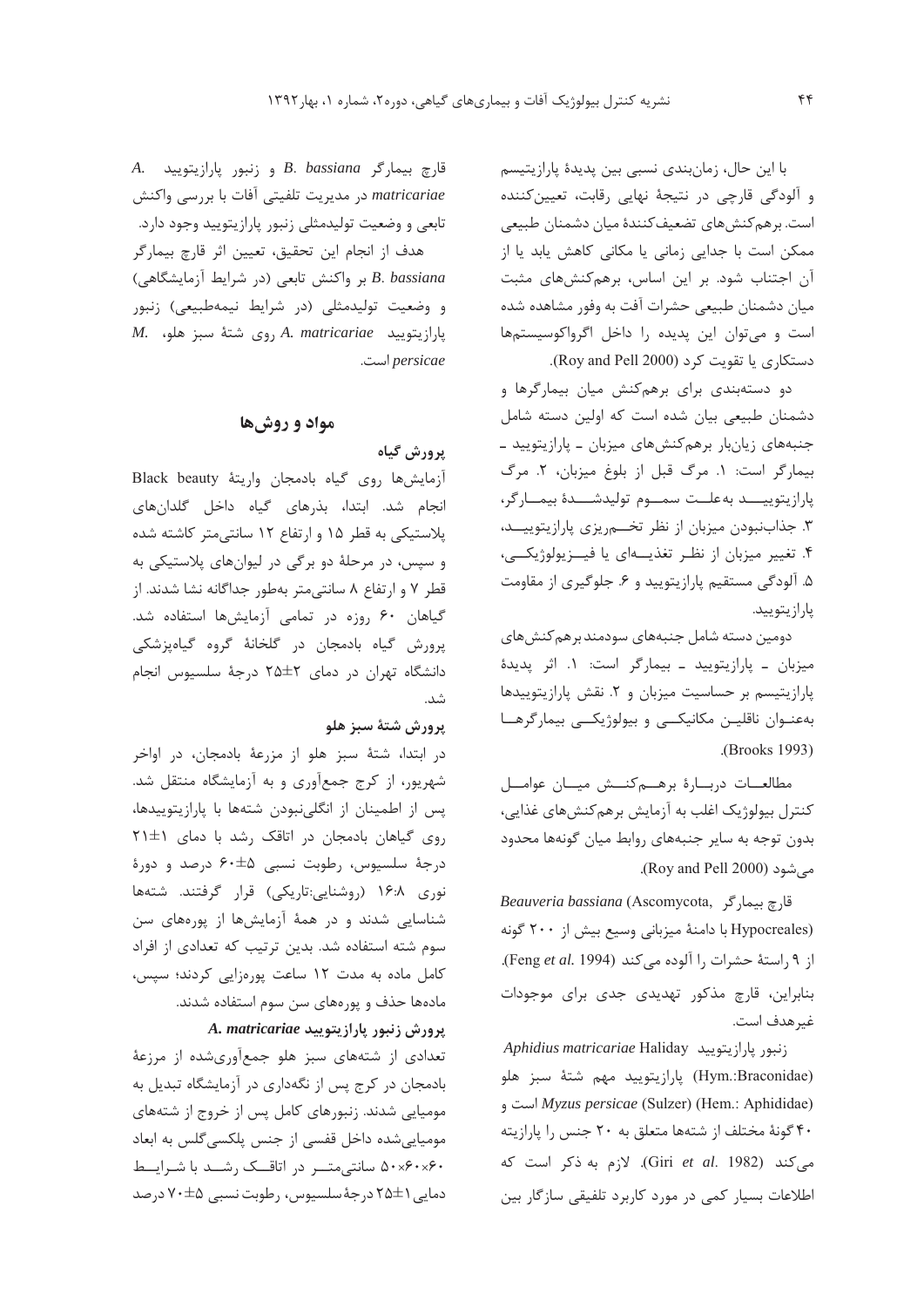با این حال، زمانبندی نسبی بین پدیدهٔ پارازیتیسم و آلودگی قارچی در نتیجهٔ نهایی رقابت، تعیین کننده است. برهم كنش هاي تضعيف كنندهٔ ميان دشمنان طبيعي ممکن است با جدایی زمانی یا مکانی کاهش یابد یا از آن اجتناب شود. بر این اساس، برهم کنشهای مثبت میان دشمنان طبیعی حشرات آفت به وفور مشاهده شده است و می توان این پدیده را داخل اگرواکوسیستمها دستکاري يا تقويت کرد (Roy and Pell 2000).

دو دستهبندی برای برهم کنش میان بیمارگرها و دشمنان طبیعی بیان شده است که اولین دسته شامل جنبههای زیانبار برهم کنشهای میزبان ـ پارازیتویید ـ بيماركر است: ١. مرك قبل از بلوغ ميزبان، ٢. مرك پارازيتوييـــد به علــت سمــوم توليدشـــدۀ بيمــارگر، ٣. جذاب نبودن ميزبان از نظر تخهرريزي پارازيتوييــد، ۴. تغییر میزبان از نظـر تغذیــــهای یا فیـــزیولوژیکـــی، ۵. آلودگی مستقیم پارازیتویید و ۶. جلوگیری از مقاومت يارازيتوييد.

دومین دسته شامل جنبههای سودمند برهم کنش های میزبان ـ پارازیتویید ـ بیمارگر است: ۱. اثر پدیدهٔ پارازیتیسم بر حساسیت میزبان و ۲. نقش پارازیتوییدها بهعنوان ناقلين مكانيكي وبيولوژيكي بيماركرها .(Brooks 1993)

مطالعـات دربــارة برهـــم كنـــش ميــان عوامــل کنترل بیولوژیک اغلب به آزمایش برهمکنشهای غذایی، بدون توجه به سایر جنبههای روابط میان گونهها محدود می شود (Roy and Pell 2000).

قارچ بیمار گر , Beauveria bassiana (Ascomycota (Hypocreales با دامنهٔ میزبانی وسیع بیش از ۲۰۰ گونه از ۹, استهٔ حشرات , ا آلوده می کند (Feng et al. 1994). بنابراین، قارچ مذکور تهدیدی جدی برای موجودات غير هدف است.

Aphidius matricariae Haliday زنبور يارازيتوييد (Hym.:Braconidae) پارازيتوييد مهم شتهٔ سبز هلو است و Myzus persicae (Sulzer) (Hem.: Aphididae) ۴۰ گونهٔ مختلف از شتهها متعلق به ۲۰ جنس را پارازیته می کند (Giri et al. 1982). لازم به ذکر است که اطلاعات بسیار کمی در مورد کاربرد تلفیقی سازگار بین

A. فارچ بیمارگر B. bassiana و زنبور یارازیتویید matricariae در مدیریت تلفیتی آفات با بررسی واکنش تابعی و وضعیت تولیدمثلی زنبور پارازیتویید وجود دارد.

هدف از انجام این تحقیق، تعیین اثر قارچ بیمارگر B. bassiana بر واكنش تابعى (در شرايط آزمايشگاهى) و وضعیت تولیدمثلی (در شرایط نیمهطبیعی) زنبور  $M$ . بوی شتهٔ سبز هلو، M. M. وی شتهٔ سبز هلو، persicae است.

### مواد و روشها

### يرورش گياه

آزمایش ها روی گیاه بادمجان واریتهٔ Black beauty انجام شد. ابتدا، بذرهای گیاه داخل گلدانهای پلاستیکی به قطر ۱۵ و ارتفاع ۱۲ سانتی متر کاشته شده و سپس، در مرحلهٔ دو برگی در لیوانهای پلاستیکی به قطر ۷ و ارتفاع ۸ سانتی متر بهطور جداگانه نشا شدند. از گیاهان ۶۰ روزه در تمامی آزمایشها استفاده شد. يرورش گياه بادمجان در گلخانهٔ گروه گياهيزشكي دانشگاه تهران در دمای ۲\$±۲۵ درجهٔ سلسیوس انجام شد.

### يرورش شتة سبز هلو

در ابتدا، شتهٔ سبز هلو از مزرعهٔ بادمجان، در اواخر شهریور، از کرج جمعآوری و به آزمایشگاه منتقل شد. پس از اطمینان از انگلی نبودن شتهها با پارازیتوییدها، روی گیاهان بادمجان در اتاقک رشد با دمای ١±٢١ درجهٔ سلسیوس، رطوبت نسبی ۵±۶۰ درصد و دورهٔ نوری ۱۶:۸ (روشنایی:تاریکی) قرار گرفتند. شتهها شناسایی شدند و در همهٔ آزمایشها از پورههای سن سوم شته استفاده شد. بدین ترتیب که تعدادی از افراد کامل ماده به مدت ١٢ ساعت پورهزايي کردند؛ سپس، مادهها حذف و پورههای سن سوم استفاده شدند.

A. matricariae یرورش زنبور یارازیتویید

تعدادی از شتههای سبز هلو جمعآوریشده از مرزعهٔ بادمجان در کرج پس از نگهداری در آزمایشگاه تبدیل به مومیایی شدند. زنبورهای کامل پس از خروج از شتههای مومیاییشده داخل قفسی از جنس پلکسی گلس به ابعاد ۵۰×۶۰×۰ سانتی متر در اتاقک رشد با شرایط دمایی ۱ ±۲۵ درجۀ سلسیوس، رطوبت نسبی ۵±۷۰ درصد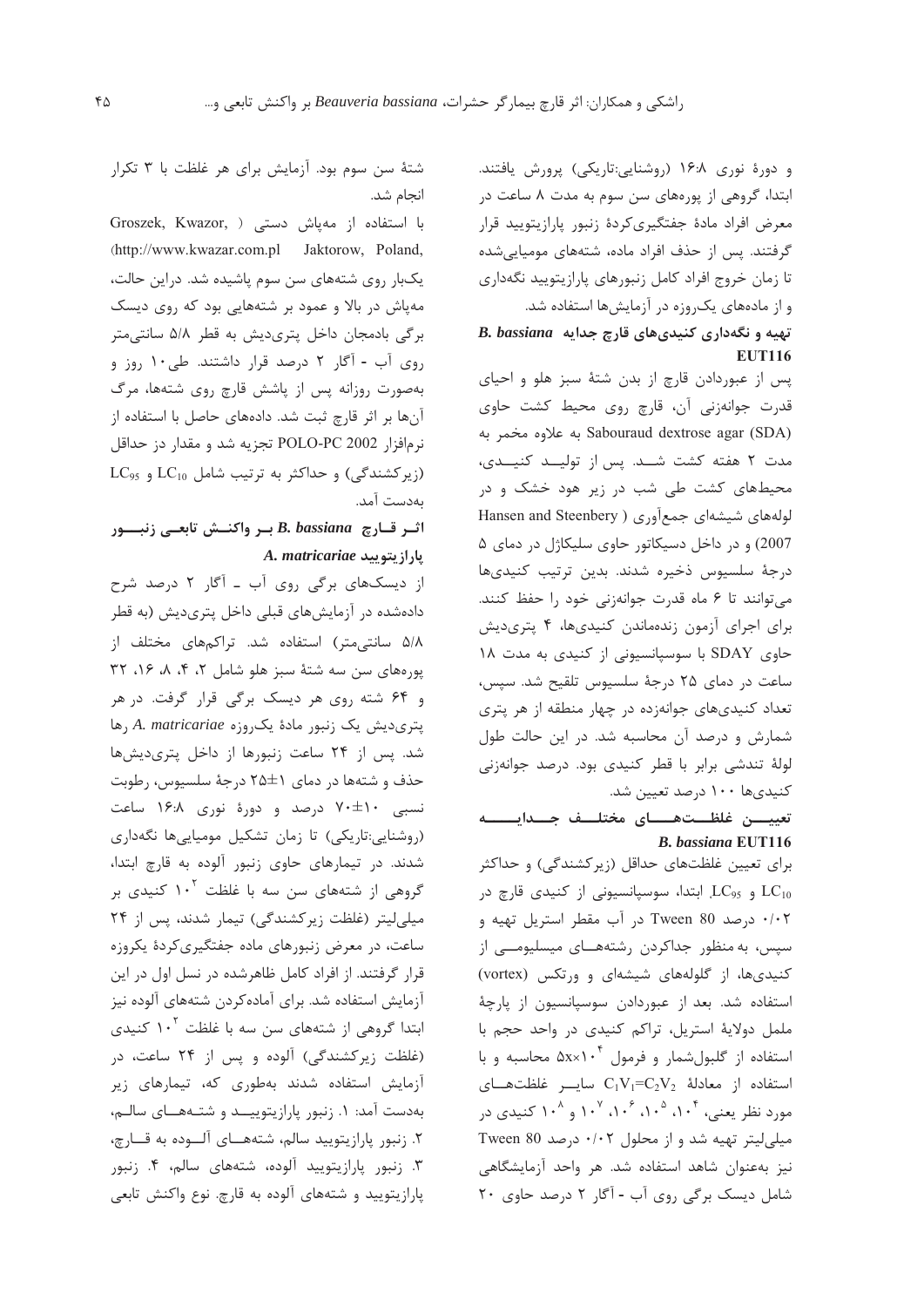و دورهٔ نوری ۱۶:۸ (روشنایی:تاریکی) پرورش یافتند. ابتدا، گروهی از پورههای سن سوم به مدت ۸ ساعت در معرض افراد مادة جفتگيري كردة زنبور پارازيتوييد قرار گرفتند. پس از حذف افراد ماده، شتههای مومیایی شده تا زمان خروج افراد كامل زنبورهاي پارازيتوييد نگهداري و از مادههای یک روزه در آزمایشها استفاده شد.

### تهیه و نگهداری کنیدی های قارچ جدایه B. bassiana **EUT116**

پس از عبوردادن قارچ از بدن شتهٔ سبز هلو و احیای قدرت جوانەزنى آن، قارچ روى محيط كشت حاوى Sabouraud dextrose agar (SDA) به علاوه مخمر به مدت ٢ هفته كشت شـد. پس از توليـد كنيـدى، محیطهای کشت طی شب در زیر هود خشک و در الولههای شیشهای جمعآوری ( Hansen and Steenbery 2007) و در داخل دسیکاتور حاوی سلیکاژل در دمای ۵ درجهٔ سلسیوس ذخیره شدند. بدین ترتیب کنیدیها می توانند تا ۶ ماه قدرت جوانهزنی خود را حفظ کنند. برای اجرای آزمون زندهماندن کنیدیها، ۴ پتریدیش حاوی SDAY با سوسیانسیونی از کنیدی به مدت ١٨ ساعت در دمای ۲۵ درجهٔ سلسیوس تلقیح شد. سپس، تعداد کنیدیهای جوانهزده در چهار منطقه از هر پتری شمارش و درصد آن محاسبه شد. در این حالت طول لولهٔ تندشی برابر با قطر کنیدی بود. درصد جوانهزنی کنیدیها ۱۰۰ درصد تعیین شد.

## تعييــــن غلظـــتھـــــاي مختلـــف جــــدايـــ **B.** bassiana EUT116

برای تعیین غلظتهای حداقل (زیرکشندگی) و حداکثر و LC<sub>95</sub> بابتدا، سوسپانسیونی از کنیدی قارچ در EC<sub>10</sub> ۰/۰۲ درصد Tween 80 در آب مقطر استریل تهیه و سیس، به منظور جداکردن رشتههــای میسلیومـــی از کنیدیها، از گلولههای شیشهای و ورتکس (vortex) استفاده شد. بعد از عبوردادن سوسپانسیون از پارچهٔ ململ دولاية استريل، تراكم كنيدى در واحد حجم با استفاده از گلبول شمار و فرمول ۱۰<sup>۴</sup> ۵x×۱۰ محاسبه و با استفاده از معادلة  $C_1V_1=C_2V_2$  سایسر غلظتهسای مورد نظر یعنے، ۱۰<sup>۴</sup> ۱۰<sup>۵</sup> ۰۱۰ و ۱۰<sup>۸</sup> کنیدی در میلی لیتر تهیه شد و از محلول ۰/۰۲ درصد Tween 80 نیز بهعنوان شاهد استفاده شد. هر واحد آزمایشگاهی شامل دیسک برگی روی آب - آگار ۲ درصد حاوی ۲۰

شتهٔ سن سوم بود. آزمایش برای هر غلظت با ۳ تکرار انجام شد.

Groszek, Kwazor, ) با استفاده از مهپاش دستی (http://www.kwazar.com.pl Jaktorow, Poland, یکبار روی شتههای سن سوم یاشیده شد. دراین حالت، مهپاش در بالا و عمود بر شتههایی بود که روی دیسک برگی بادمجان داخل پتریدیش به قطر ۵/۸ سانتی متر روی آب - آگار ۲ درصد قرار داشتند. طی۱۰ روز و بهصورت روزانه پس از پاشش قارچ روی شتهها، مرگ آنها بر اثر قارچ ثبت شد. دادههای حاصل با استفاده از نرمافزار POLO-PC 2002 تجزيه شد و مقدار دز حداقل  $LC_{95}$  (زیرکشندگی) و حداکثر به ترتیب شامل LC<sub>10</sub> و  $C_{10}$ بەدست آمد.

## اثر قـارچ B. bassiana بـر واكنــش تابعــى زنبـــور A. matricariae پارازيتوييد

از دیسکهای برگی روی آب ـ آگار ۲ درصد شرح دادهشده در آزمایشهای قبلی داخل پتریدیش (به قطر ۵/۸ سانتی متر) استفاده شد. تراکمهای مختلف از یورههای سن سه شتهٔ سبز هلو شامل ۲، ۴، ۸، ۱۶، ۳۲ و ۶۴ شته روی هر دیسک برگی قرار گرفت. در هر پتری دیش یک زنبور مادهٔ یک روزه A. matricariae رها شد. پس از ۲۴ ساعت زنبورها از داخل پتریدیشها حذف و شتهها در دمای 1±۲۵ درجهٔ سلسیوس، رطوبت نسبی ۲۰±۷۰ درصد و دورهٔ نوری ۱۶:۸ ساعت (روشنایی:تاریکی) تا زمان تشکیل مومیاییها نگهداری شدند. در تیمارهای حاوی زنبور آلوده به قارچ ابتدا، گروهی از شتههای سن سه با غلظت ۱۰<sup>۲</sup> کنیدی بر میلی لیتر (غلظت زیر کشندگی) تیمار شدند، پس از ۲۴ ساعت، در معرض زنبورهای ماده جفتگیری کردهٔ یکروزه قرار گرفتند. از افراد کامل ظاهرشده در نسل اول در این آزمایش استفاده شد. برای آماده کردن شتههای آلوده نیز ابتدا گروهی از شتههای سن سه با غلظت ۱۰<sup>۲</sup> کنیدی (غلظت زیرکشندگی) آلوده و پس از ۲۴ ساعت، در آزمایش استفاده شدند بهطوری که، تیمارهای زیر بهدست آمد: ۱. زنبور پارازیتوییــد و شتـههــای سالـم، ٢. زنبور يارازيتوييد سالم، شتههــاى آلــوده به قــارچ، ۰۳ زنبور پارازیتویید آلوده، شتههای سالم، ۴. زنبور پارازیتویید و شتههای آلوده به قارچ. نوع واکنش تابعی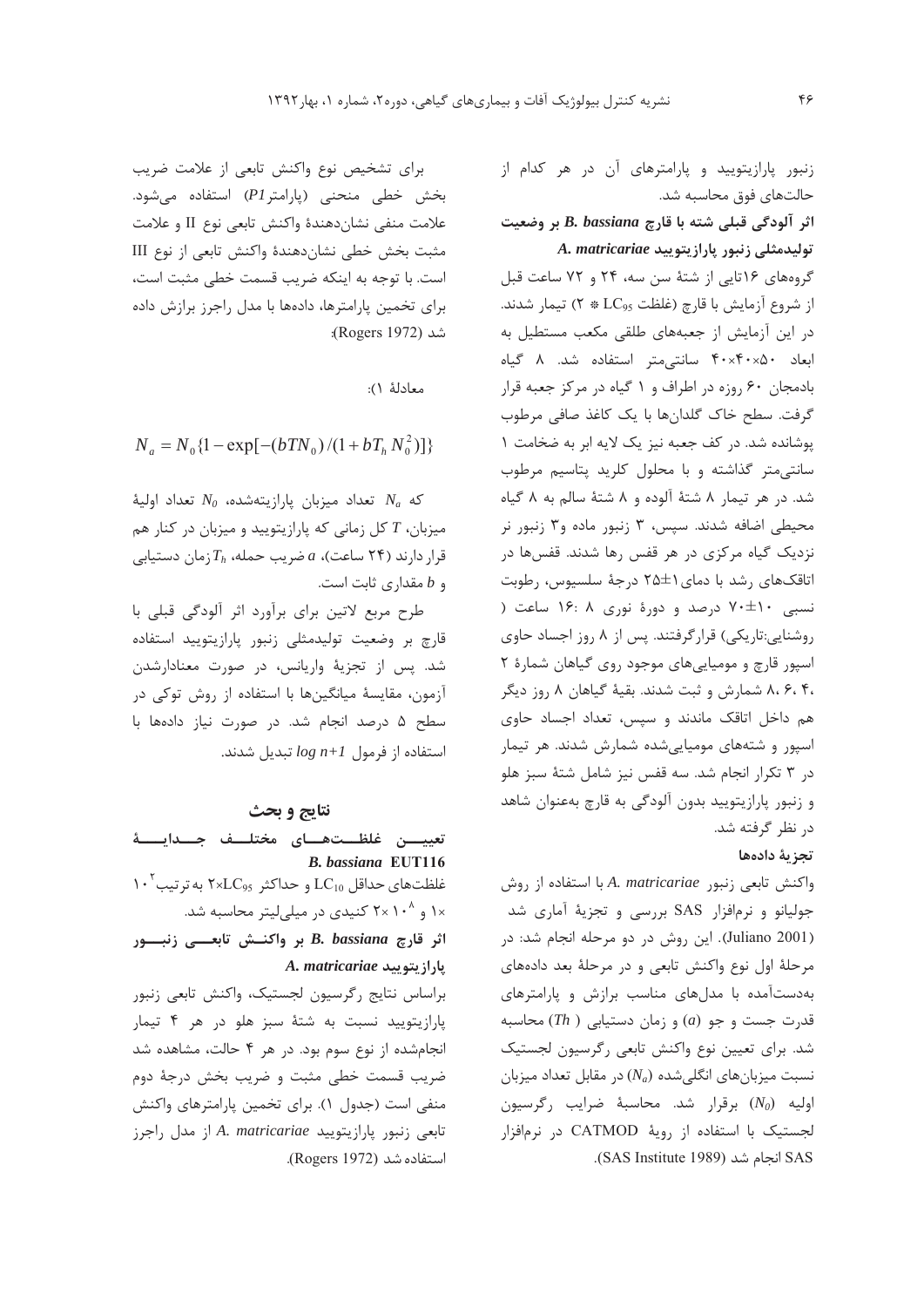برای تشخیص نوع واکنش تابعی از علامت ضریب بخش خطی منحنی (یارامتر P1) استفاده می شود. علامت منفي نشانِدهندة واكنش تابعي نوع II و علامت مثبت بخش خطى نشان دهندة واكنش تابعي از نوع III است. با توجه به اینکه ضریب قسمت خطی مثبت است، برای تخمین پارامترها، دادهها با مدل راجرز برازش داده شد (Rogers 1972):

معادلة ١):

 $N_a = N_0 \{1 - \exp[-(bTN_0)/(1 + bT_h N_0^2)]\}$ 

كه  $N_a$  تعداد ميزبان يارازيتهشده،  $N_0$  تعداد اوليهٔ میزبان،  $T$  کل زمانی که پارازیتویید و میزبان در کنار هم قرار دارند (۲۴ ساعت)، a ضریب حمله،  $T_h$ زمان دستیابی و b مقداری ثابت است.

طرح مربع لاتین برای برآورد اثر آلودگی قبلی با قارچ بر وضعیت تولیدمثلی زنبور پارازیتویید استفاده شد. يس از تجزيۀ واريانس، در صورت معنادارشدن آزمون، مقایسهٔ میانگینها با استفاده از روش توکی در سطح ۵ درصد انجام شد. در صورت نیاز دادهها با  $log n+1$  استفاده از فرمول  $log n+1$  تبدیل شدند.

#### نتايج و بحث

تعييـــن غلظـــتهـــاي مختلـــف جـــدايـــــهٔ **B.** bassiana EUT116 ۱۰ نومای حداقل  $\rm LC_{10}$  و حداکثر  $\rm kLC_{95}$ ۲×۲ نه تر تیب ۱× و ۲× ۲ کنیدی در میلی لیتر محاسبه شد. اثر قارچ B. bassiana بر واكنــش تابعـــى زنبـــور A. matricariae يارازيتوييد براساس نتايج رگرسيون لجستيک، واكنش تابعي زنبور یارازیتویید نسبت به شتهٔ سبز هلو در هر ۴ تیمار انجام شده از نوع سوم بود. در هر ۴ حالت، مشاهده شد ضریب قسمت خطی مثبت و ضریب بخش درجهٔ دوم

منفی است (جدول ۱). برای تخمین پارامترهای واکنش تابعی زنبور پارازیتویید A. matricariae از مدل راجرز استفاده شد (Rogers 1972). زنبور پارازیتویید و پارامترهای آن در هر کدام از حالتهای فوق محاسبه شد. اثر آلودگی قبلی شته با قارچ B. bassiana بر وضعیت

A. matricariae تولیدهشلی زنبور پارازیتویید

گروههای ۱۶تایی از شتهٔ سن سه، ۲۴ و ۷۲ ساعت قبل از شروع آزمايش با قارچ (غلظت LC<sub>95</sub> \* ٢) تيمار شدند. در این آزمایش از جعبههای طلقی مکعب مستطیل به ابعاد ۴۰x۴۰x۵۰ سانتی متر استفاده شد. ۸ گیاه بادمجان ۶۰ روزه در اطراف و ۱ گیاه در مرکز جعبه قرار گرفت. سطح خاک گلدانها با یک کاغذ صافی مرطوب پوشانده شد. در کف جعبه نیز یک لایه ابر به ضخامت ١ سانتی متر گذاشته و با محلول کلرید پتاسیم مرطوب شد. در هر تیمار ۸ شتهٔ آلوده و ۸ شتهٔ سالم به ۸ گیاه محیطی اضافه شدند. سپس، ۳ زنبور ماده و۳ زنبور نر نزدیک گیاه مرکزی در هر قفس رها شدند. قفسها در اتاقکهای رشد با دمای ۲۵±۲ درجهٔ سلسیوس، رطوبت نسبی ۱۰±۷۰ درصد و دورهٔ نوری ۱۶: ۱۶ ساعت ( روشنایی:تاریکی) قرارگرفتند. پس از ۸ روز اجساد حاوی اسپور قارچ و مومیاییهای موجود روی گیاهان شمارهٔ ٢ ،۸،۶،۴ شمارش و ثبت شدند. بقیهٔ گیاهان ۸ روز دیگر هم داخل اتاقک ماندند و سپس، تعداد اجساد حاوی اسپور و شتههای مومیاییشده شمارش شدند. هر تیمار در ۳ تکرار انجام شد. سه قفس نیز شامل شتهٔ سبز هلو و زنبور پارازیتویید بدون آلودگی به قارچ بهعنوان شاهد در نظر گرفته شد.

#### تجزية دادهها

واكنش تابعي زنبور A. matricariae با استفاده از روش جولیانو و نرمافزار SAS بررسی و تجزیهٔ آماری شد (Juliano 2001). این روش در دو مرحله انجام شد: در مرحلهٔ اول نوع واکنش تابعی و در مرحلهٔ بعد دادههای بهدستآمده با مدلهای مناسب برازش و پارامترهای قدرت جست و جو (a) و زمان دستیابی ( Th) محاسبه شد. برای تعیین نوع واکنش تابعی رگرسیون لجستیک نسبت میزبانهای انگلیشده ( $N_a$ ) در مقابل تعداد میزبان اوليه  $(N_0)$  برقرار شد. محاسبهٔ ضرايب رگرسيون لجستیک با استفاده از رویهٔ CATMOD در نرمافزار SAS انجام شد (SAS Institute 1989).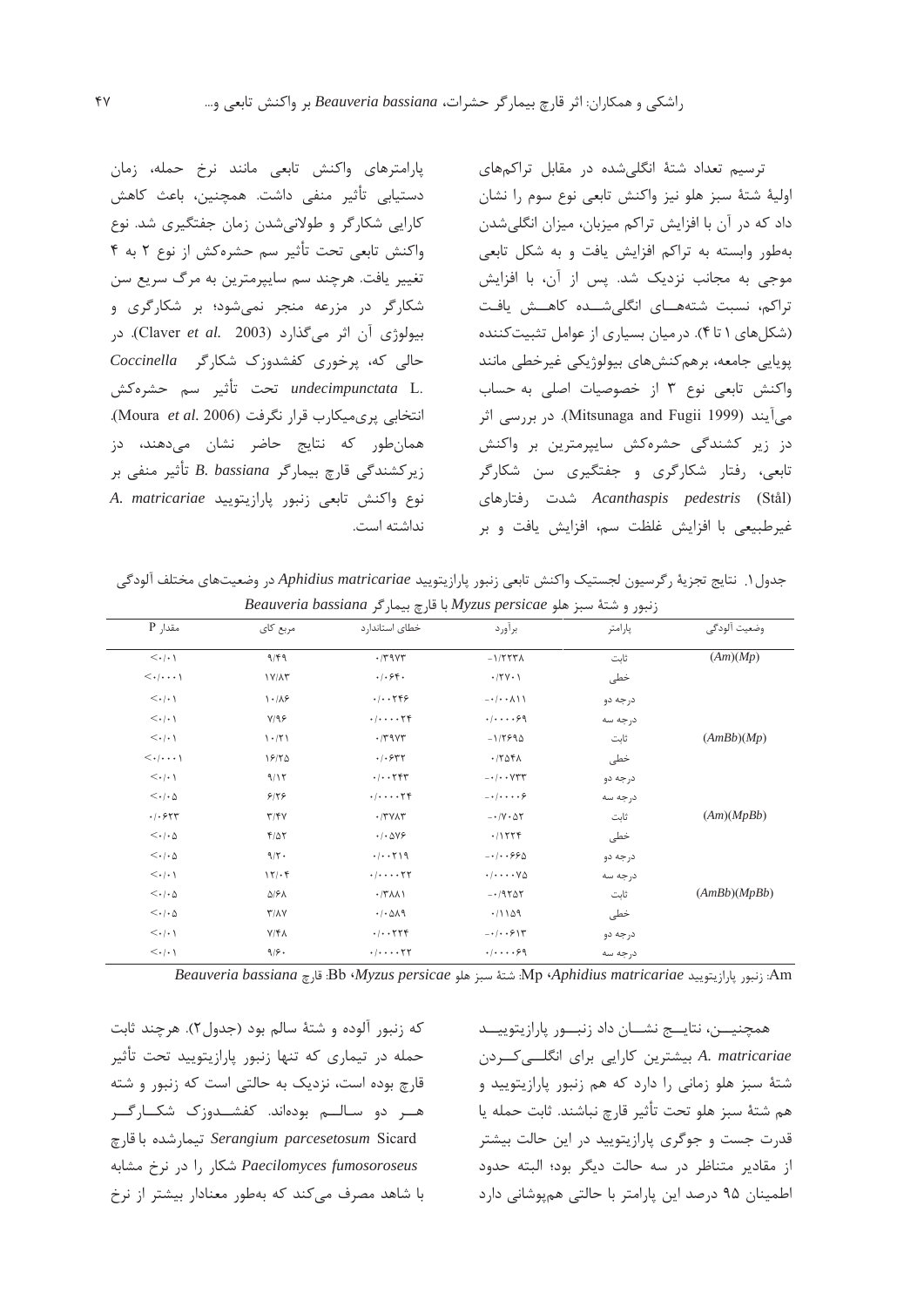یارامترهای واکنش تابعی مانند نرخ حمله، زمان دستیابی تأثیر منفی داشت. همچنین، باعث کاهش کارایی شکارگر و طولانیشدن زمان جفتگیری شد. نوع واكنش تابعي تحت تأثير سم حشرهكش از نوع ٢ به ۴ تغيير يافت. هرچند سم سايپرمترين به مرگ سريع سن شکارگر در مزرعه منجر نمی شود؛ بر شکارگری و بيولوژي آن اثر مي گذارد (Claver et al. 2003). در حالی که، پرخوری کفشدوزک شکارگر Coccinella .undecimpunctata L تحت تأثير سم حشرهكش انتخابی یری میکارب قرار نگرفت (Moura et al. 2006). همانطور که نتایج حاضر نشان میدهند، دز زيركشندگي قارچ بيمارگر B. bassiana تأثير منفي بر A. matricariae نوع واكنش تابعى زنبور يارازيتوييد نداشته است.

ترسیم تعداد شتهٔ انگلے شده در مقابل تراکمهای اوليهٔ شتهٔ سبز هلو نيز واكنش تابعي نوع سوم را نشان داد که در آن با افزایش تراکم میزبان، میزان انگلیشدن بهطور وابسته به تراكم افزايش يافت و به شكل تابعى موجی به مجانب نزدیک شد. پس از آن، با افزایش تراكم، نسبت شتههـاى انگلى شــده كاهــش يافت (شکلهای ۱ تا ۴). در میان بسیاری از عوامل تثبیت کننده پویایی جامعه، برهم کنشهای بیولوژیکی غیرخطی مانند واكنش تابعى نوع ٣ از خصوصيات اصلى به حساب میآیند (Mitsunaga and Fugii 1999). در بررسی اثر دز زیر کشندگی حشرهکش سایپرمترین بر واکنش تابعی، رفتار شکارگری و جفتگیری سن شکارگر Acanthaspis pedestris (Stål) شدت رفتارهای غیرطبیعی با افزایش غلظت سم، افزایش یافت و بر

جدول ١. نتايج تجزية ركرسيون لجستيك واكنش تابعي زنبور پارازيتوييد Aphidius matricariae در وضعيتهاى مختلف آلودكي  $\emph{Beaweria}$  میں: ملو $\emph{Myzus}$  persicae نحوی و شتهٔ سبز هلو  $\emph{Myzus}$  با قارچ بیمار گر

| مقدار P                           | مربع کای                | خطای استاندارد                             | برآورد                                                | پارامتر  | وضعيت آلودگي |
|-----------------------------------|-------------------------|--------------------------------------------|-------------------------------------------------------|----------|--------------|
| $\langle \cdot   \cdot \rangle$   | 9/99                    | $\cdot$ /٣٩٧٣                              | $-1/777\lambda$                                       | ثابت     | (Am)(Mp)     |
| $\langle \cdot   \cdots \rangle$  | $1Y/\Lambda$ ۳          | .  .94.                                    | $\cdot$ /۲۷ $\cdot$ )                                 | خطی      |              |
| $\langle \cdot   \cdot \rangle$   | 1.18                    | .7.799                                     | $- \cdot / \cdot \cdot \wedge \wedge \wedge$          | درجه دو  |              |
| $\langle \cdot   \cdot \rangle$   | Y/99                    | . / 74                                     | .4.1.99                                               | درجه سه  |              |
| $\langle \cdot   \cdot \rangle$   | 1.71                    | $\cdot$ /٣٩٧٣                              | $-1/7990$                                             | ثابت     | (AmBb)(Mp)   |
| $\langle \cdot   \cdots \rangle$  | 18/70                   | $\cdot$ / $\cdot$ $\epsilon$ $\tau$ $\tau$ | $\cdot$ / $\uparrow$ $\uparrow$ $\uparrow$ $\uparrow$ | خطى      |              |
| $\langle \cdot   \cdot \rangle$   | 9/15                    | . / 797                                    | $ \cdot$ $\cdot$ $\vee$ $\vee$ $\vee$                 | درجه دو  |              |
| $\langle \cdot   \cdot \Delta$    | 918                     | $\cdot/\cdot\cdot\cdot\cdot\tau$ ۴         | $-\cdot/\cdot\cdot\cdot\mathcal{S}$                   | در جه سه |              |
| .1.557                            | Y/Y                     | $\cdot$ /٣٧٨٣                              | $-1/\gamma \cdot \Delta \Upsilon$                     | ثابت     | (Am)(MpBb)   |
| $<\!\!\cdot\!/\!\cdot\!\!\!\!/\;$ | $F/\Delta Y$            | $\cdot$ / $\cdot$ $\Delta$ $\sqrt{2}$      | .11779                                                | خطى      |              |
| $<\!\!\cdot\!/\!\cdot\!\!\!\!/\;$ | $9/7$ .                 | .7.7.19                                    | $-1.1.990$                                            | درجه دو  |              |
| $\langle \cdot   \cdot \rangle$   | 15.6                    | $\cdot/\cdot\cdot\cdot\cdot\tau$           | $\cdot/\cdot\cdot\cdot\vee\Delta$                     | درجه سه  |              |
| $\langle \cdot   \cdot \Delta$    | ۵۱۶۸                    | $\cdot$ /٣٨٨١                              | $-19707$                                              | ثابت     | (AmBb)(MpBb) |
| $<\!\!\cdot\!/\!\cdot\!\!\!\!/\;$ | $Y/\lambda Y$           | .4.019                                     | .71109                                                | خطى      |              |
| $\langle \cdot   \cdot \rangle$   | $Y/\mathfrak{F}\Lambda$ | . / 779                                    | $-1$                                                  | درجه دو  |              |
| $\langle \cdot   \cdot \rangle$   | 9/9.                    | . / 77                                     | .4.1.99                                               | درجه سه  |              |

Am: زنبور پارازيتوييد Mp (Aphidius matricariae. شتهٔ سبز هلو Bb (Myzus persicae. قارچ Bb الثارتوييد Beauveria

که زنبور آلوده و شتهٔ سالم بود (جدول۲). هرچند ثابت حمله در تیماری که تنها زنبور پارازیتویید تحت تأثیر قارچ بوده است، نزدیک به حالتی است که زنبور و شته هــر دو سـالــم بودەاند. كفشــدوزک شكــارگــر Serangium parcesetosum Sicard تيمارشده باقارچ Paecilomyces fumosoroseus شكار را در نرخ مشابه با شاهد مصرف می کند که بهطور معنادار بیشتر از نرخ

همچنيـــن، نتايـــج نشـــان داد زنبـــور پارازيتوييـــد A. matricariae بیشترین کارایی برای انگلــی *کــر*دن شتهٔ سبز هلو زمانی را دارد که هم زنبور پارازیتویید و هم شتهٔ سبز هلو تحت تأثير قارچ نباشند. ثابت حمله يا قدرت جست و جوگری پارازیتویید در این حالت بیشتر از مقادیر متناظر در سه حالت دیگر بود؛ البته حدود اطمینان ۹۵ درصد این پارامتر با حالتی همپوشانی دارد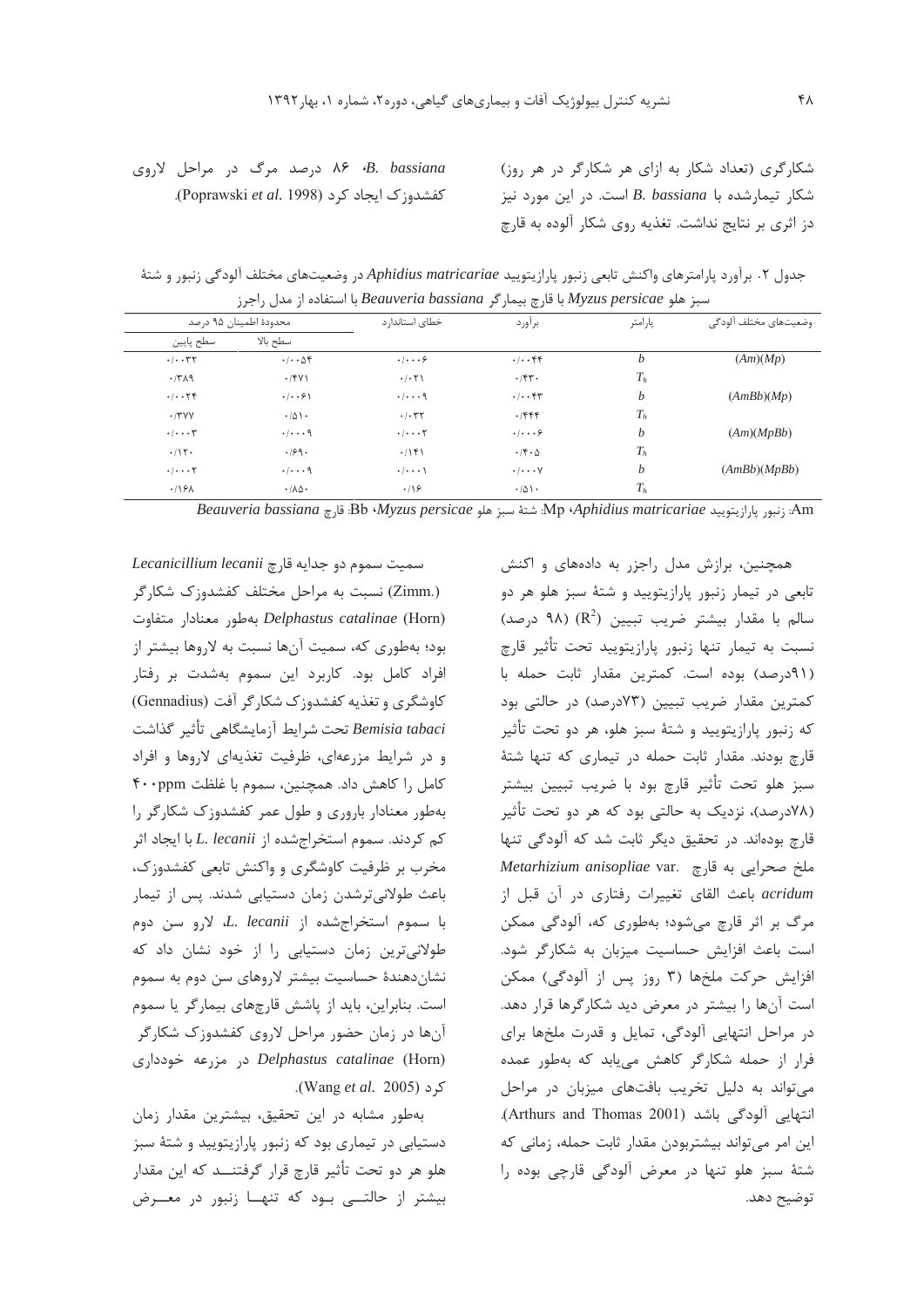B. bassiana، ۶۸ درصد مرگ در مراحل لاروی .Poprawski et al. 1998) کفشدوزک ایجاد کرد شکارگری (تعداد شکار به ازای هر شکارگر در هر روز) شكار تيمارشده با B. bassiana است. در اين مورد نيز دز اثری بر نتایج نداشت. تغذیه روی شکار آلوده به قارچ

جدول ۲. برآورد پارامترهای واکنش تابعی زنبور پارازیتویید Aphidius matricariae در وضعیتهای مختلف آلودگی زنبور و شتهٔ سبز هلو Myzus persicae با قارچ بیمار گر Beauveria bassiana با استفاده از مدل راجرز

| محدودة اطمينان ۹۵ درصد               |                                           | خطای استاندار د                           | براورد                      | پارامتر | وضعيتهاى مختلف ألودگى |  |
|--------------------------------------|-------------------------------------------|-------------------------------------------|-----------------------------|---------|-----------------------|--|
| سطح پایین                            | سطح بالا                                  |                                           |                             |         |                       |  |
| . / 77                               | $. / \, \Delta f$                         | . 1. 9                                    | $. -$                       | b       | (Am)(Mp)              |  |
| 4.77                                 | .791                                      | .7.5                                      | .754                        | $T_h$   |                       |  |
| $. -74$                              | $\cdot$ / $\cdot$ $\cdot$ $\cdot$ $\cdot$ | $\cdot$ / $\cdot$ $\cdot$ 9               | $. -$                       | b       | (AmBb)(Mp)            |  |
| .77YY                                | .401.                                     | .1.77                                     | .7999                       | $T_h$   |                       |  |
| $\cdot/\cdot\cdot\cdot$ $\mathsf{y}$ | $\cdot$ / $\cdot$ $\cdot$ 9               | $\cdot$ / $\cdot$ $\cdot$ $\cdot$ $\cdot$ | $\cdot$ / $\cdot$ $\cdot$ 6 | b       | (Am)(MpBb)            |  |
| .715                                 | .199.                                     | .799                                      | $\cdot$ /۴ $\cdot$ $\circ$  | $T_h$   |                       |  |
| $\cdot/\cdot\cdot\cdot$ $\Upsilon$   | $\cdot$ / $\cdot$ $\cdot$ 9               | $\cdot$ / $\cdot$ $\cdot$ \               | $\cdot/\cdot\cdot\cdot$ Y   | b       | (AmBb)(MpBb)          |  |
| .19A                                 | $\cdot$ / $\Lambda\Delta\cdot$            | $\cdot$ /18                               | $\cdot/\Delta$ \ $\cdot$    | $T_h$   |                       |  |

Am: زنمو باراز بتوبيد Mp (Aphidius matricariae. شتهٔ سبز هلو Bb (Myzus persicae، قارچ Bb (Midius matricariae،

Lecanicillium lecanii جدايه قارچ (.Zimm) نسبت به مراحل مختلف کفشدوزک شکارگر Delphastus catalinae (Horn) بهطور معنادار متفاوت بود؛ بهطوری که، سمیت آنها نسبت به لاروها بیشتر از افراد کامل بود. کاربرد این سموم بهشدت بر رفتار کاوشگری و تغذیه کفشدوزک شکارگر آفت (Gennadius) Bemisia tabaci تحت شرايط آزمايشگاهي تأثير گذاشت و در شرایط مزرعهای، ظرفیت تغذیهای لاروها و افراد كامل را كاهش داد. همچنين، سموم با غلظت ۴۰۰ppm بهطور معنادار باروری و طول عمر کفشدوزک شکارگر را كم كردند. سموم استخراجشده از L. lecanii با ايجاد اثر مخرب بر ظرفیت کاوشگری و واکنش تابعی کفشدوزک، باعث طولانیترشدن زمان دستیابی شدند. پس از تیمار با سموم استخراجشده از L. lecanii با درو سن دوم طولانیترین زمان دستیابی را از خود نشان داد که نشاندهندهٔ حساسیت بیشتر لاروهای سن دوم به سموم است. بنابراین، باید از پاشش قارچهای بیمار گر یا سموم آنها در زمان حضور مراحل لاروی کفشدوزک شکارگر Delphastus catalinae (Horn) در مزرعه خودداری کرد (Wang et al. 2005).

بهطور مشابه در این تحقیق، بیشترین مقدار زمان دستیابی در تیماری بود که زنبور پارازیتویید و شتهٔ سبز هلو هر دو تحت تأثير قارچ قرار گرفتنـــد که اين مقدار بیشتر از حالتے بود که تنهــا زنبور در معــرض

همچنین، برازش مدل راجزر به دادههای و اکنش تابعی در تیمار زنبور پارازیتویید و شتهٔ سبز هلو هر دو سالم با مقدار بیشتر ضریب تبیین  $(R^2)$  (۹۸ درصد) نسبت به تیمار تنها زنبور پارازیتویید تحت تأثیر قارچ (۹۱درصد) بوده است. کمترین مقدار ثابت حمله با کمترین مقدار ضریب تبیین (۷۳درصد) در حالتی بود که زنبور پارازیتویید و شتهٔ سبز هلو، هر دو تحت تأثیر قارچ بودند. مقدار ثابت حمله در تیماری که تنها شتهٔ سبز هلو تحت تأثير قارچ بود با ضريب تبيين بيشتر (۷۸درصد)، نزدیک به حالتی بود که هر دو تحت تأثیر قارچ بودهاند. در تحقیق دیگر ثابت شد که آلودگی تنها Metarhizium anisopliae var. ملخ صحرايي به قارج acridum باعث القاى تغييرات رفتارى در آن قبل از مرگ بر اثر قارچ میشود؛ بهطوری که، آلودگی ممکن است باعث افزایش حساسیت میزبان به شکارگر شود. افزایش حرکت ملخها (۳ روز پس از آلودگی) ممکن است آنها را بیشتر در معرض دید شکارگرها قرار دهد. در مراحل انتهایی آلودگی، تمایل و قدرت ملخها برای فرار از حمله شکارگر کاهش می یابد که بهطور عمده می تواند به دلیل تخریب بافتهای میزبان در مراحل انتھایی آلودگی باشد (Arthurs and Thomas 2001). این امر میتواند بیشتربودن مقدار ثابت حمله، زمانی که شتهٔ سبز هلو تنها در معرض آلودگی قارچی بوده را توضيح دهد.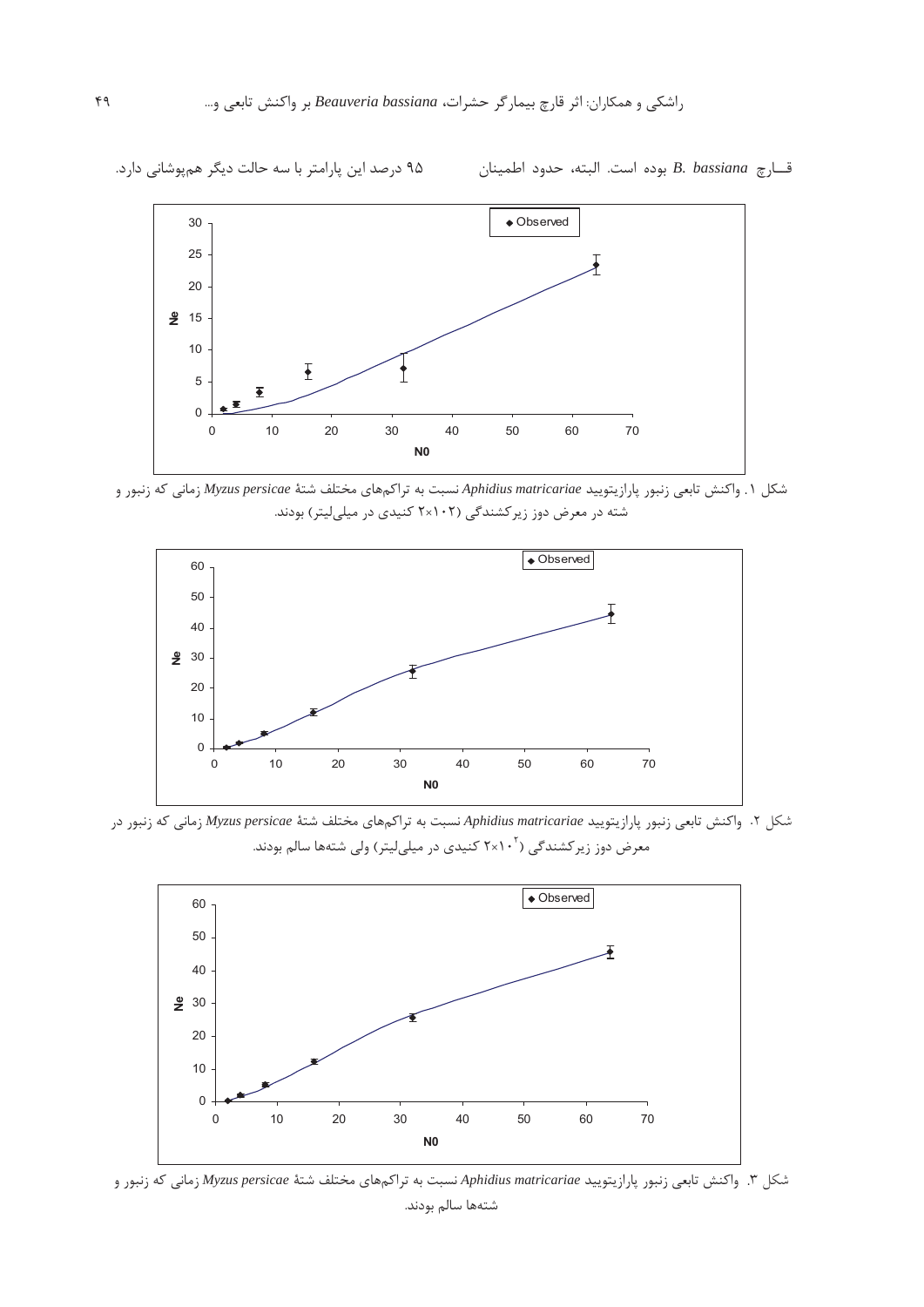

شکل ۱. واکنش تابعی زنبور پارازیتویید Aphidius matricariae نسبت به تراک<sub>ه</sub>های مختلف شتهٔ Myzus persicae زمانی که زنبور و شته د. معرض دوز زبرکشندگی (۲۰۲۲ کنیدی د. میلرلیت) بودند.



شکل ۲. واکنش تابعی زنبور یارازیتویید *Aphidius matricariae ن*سبت به تراک<sub>ه</sub>های مختلف شتهٔ *Myzus persicae ز*مانی که زنبور در معرض دوز زبرکشندگی (۲×۲۰<sup>۲</sup> کنیدی در میلے لیتر) ولی شتهها سالم بودند.



شکل ۳. واکنش تابعی زنبور یارازیتویید Aphidius matricariae نسبت به تراکمهای مختلف شتهٔ Myzus persicae زمانی که زنبور و شتهها سالم بودند. .

قارچ B. bassiana بوده است. البته، حدود اطمينان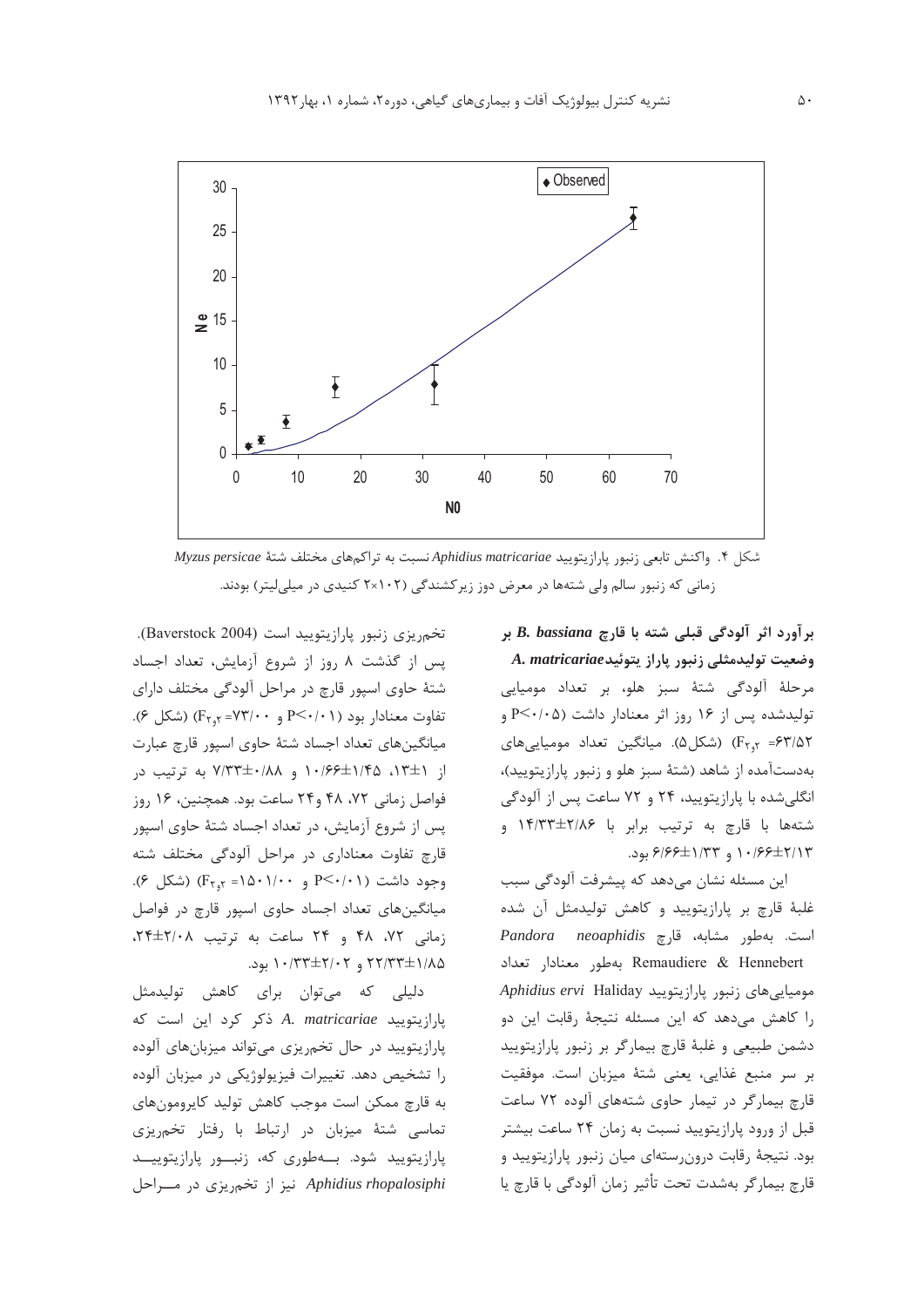

شکل ۴. واکنش تابعی زنبور پارازیتویید Aphidius matricariae نسبت به تراکمهای مختلف شتهٔ Myzus persicae زمانی که زنبور سالم ولی شتهها در معرض دوز زیرکشندگی (۲۰۲×۲ کنیدی در میلی لیتر) بودند.

برآورد اثر آلودگی قبلی شته با قارچ B. bassiana بر وضعیت تولیدمثلی زنبور پاراز یتوئید A. matricariae مرحلهٔ آلودگی شتهٔ سبز هلو، بر تعداد مومیایی تولیدشده پس از ۱۶ روز اثر معنادار داشت (P<۰/۰۵ و Fr<sub>1</sub>y = ۶۳/۵۲) (شکل۵). میانگین تعداد مومیایی های بهدستآمده از شاهد (شتهٔ سبز هلو و زنبور پارازیتویید)، انگلی شده با پارازیتویید، ۲۴ و ۷۲ ساعت پس از آلودگی شتهها با قارچ به ترتیب برابر با ۱۴/۳۳±۲/۸۶ و ۰۱۶۶±۲/۱۳ و ۶/۶۶±۱/۳۳ بود.

این مسئله نشان می۵هد که پیشرفت آلودگی سبب غلبهٔ قارچ بر پارازیتویید و کاهش تولیدمثل آن شده است. بهطور مشابه، قارچ Pandora neoaphidis Remaudiere & Hennebert بهطور معنادار تعداد Aphidius ervi Haliday دنبور پارازیتویید را کاهش میدهد که این مسئله نتیجهٔ رقابت این دو دشمن طبیعی و غلبهٔ قارچ بیمارگر بر زنبور پارازیتویید بر سر منبع غذایی، یعنی شتهٔ میزبان است. موفقیت قارچ بیمارگر در تیمار حاوی شتههای آلوده ۷۲ ساعت قبل از ورود پارازیتویید نسبت به زمان ۲۴ ساعت بیشتر بود. نتیجهٔ رقابت درون رستهای میان زنبور پارازیتویید و قارچ بيمار گر بەشدت تحت تأثير زمان آلودگي با قارچ يا

تخم یزی زنبور پارازیتویید است (Baverstock 2004). پس از گذشت ٨ روز از شروع آزمايش، تعداد اجساد شتهٔ حاوی اسپور قارچ در مراحل آلودگی مختلف دارای تفاوت معنادار بود (٢٠/٠١) P<٠/٢ و ٧٣/٠٠= ٢٢,٢ (شكل ٤). میانگینهای تعداد اجساد شتهٔ حاوی اسپور قارچ عبارت از ۱۳±۱،۲۵ ۱۴۵±۱۰/۶۶ و ۷/۳۳±۰/۸۸ به ترتیب در فواصل زمانی ۴۲، ۴۸ و۲۴ ساعت بود. همچنین، ۱۶ روز یس از شروع آزمایش، در تعداد اجساد شتهٔ حاوی اسپور قارچ تفاوت معناداری در مراحل آلودگی مختلف شته  $(F_{\gamma_{9}Y} = \lambda \cdot \lambda \cdot - P \leq F_{\gamma_{1}Y} = \lambda \cdot \lambda \cdot \lambda \cdot P$ و ۱۵۰۱/۰۰ (شکل) میانگینهای تعداد اجساد حاوی اسپور قارچ در فواصل زمانی ۷۲، ۴۸ و ۲۴ ساعت به ترتیب ۲/۰۸±۲۴،  $.441$  / + ٢٢/٣٣ و ٢٢/٣٣±٢/٠٢ بود.

دلیلی که میتوان برای کاهش تولیدمثل پارازیتویید A. matricariae ذکر کرد این است که یارازیتویید در حال تخمریزی می تواند میزبانهای آلوده را تشخیص دهد. تغییرات فیزیولوژیکی در میزبان آلوده به قارچ ممکن است موجب کاهش تولید کاپرومونهای تماسی شتهٔ میزبان در ارتباط با رفتار تخم ریزی پارازیتویید شود. بهطوری که، زنبور پارازیتویید Aphidius rhopalosiphi نیز از تخمریزی در مـراحل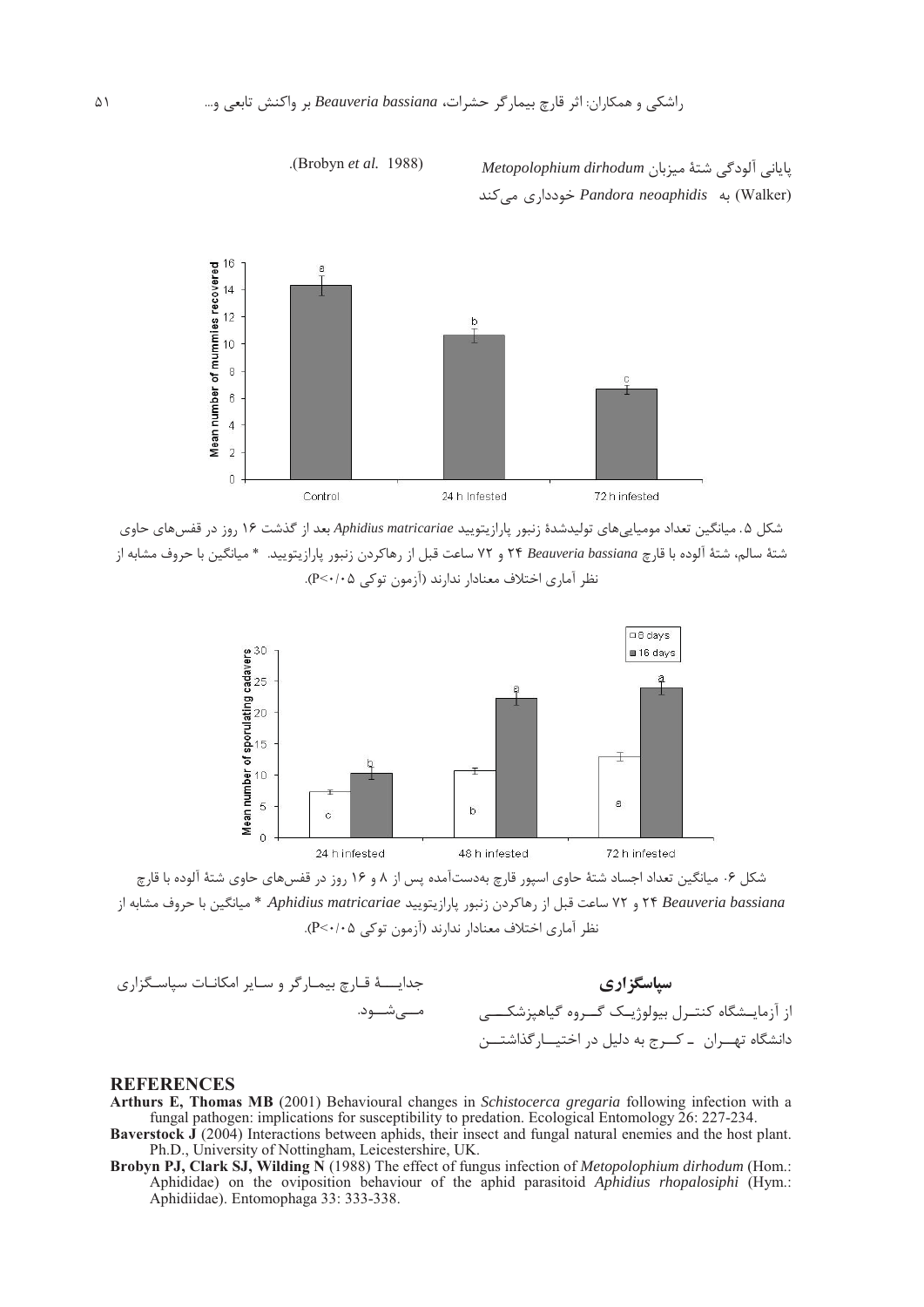ياباني آلودگي شتهٔ ميزبان *Metopolophium dirhodum*  1 9,,D *Pandora neoaphidis* ( (Walker)

-Brobyn *et al.* 1988



شکل ۵. میانگین تعداد مومیاییهای تولیدشدهٔ زنبور پارازیتویید Aphidius matricariae بعد از گذشت ۱۶ روز در قفسهای حاوی شتهٔ سالم، شتهٔ آلوده با قا<sub>ر</sub>چ K *Beauveria bassiana ک*ا و ۷۲ ساعت قبل از رهاکردن زنبور پارازیتویید. \* میانگین با حروف مشابه از .<br>نظر آماري اختلاف معنادار ندارند (آزمون توكي ۹٬۰۰۵). .



شکل ۶۰ میانگین تعداد اجساد شتهٔ حاوی اسپور قارچ بهدستآمده پس از ۸ و ۱۶ روز در قفسهای حاوی شتهٔ آلوده با قارچ :("6h%7" o" \* ;*Aphidius matricariae* 0:"\$\*:',1"&:C\*P.)"/r% *Beauveria bassiana* نظر آماري اختلاف معنادار ندارند (آزمون توكي ۹٬۰۰۵). .



#### **REFERENCES**

**Arthurs E, Thomas MB** (2001) Behavioural changes in *Schistocerca gregaria* following infection with a fungal pathogen: implications for susceptibility to predation. Ecological Entomology 26: 227-234.

**Baverstock J** (2004) Interactions between aphids, their insect and fungal natural enemies and the host plant. Ph.D., University of Nottingham, Leicestershire, UK.

**Brobyn PJ, Clark SJ, Wilding N** (1988) The effect of fungus infection of *Metopolophium dirhodum* (Hom.: Aphididae) on the oviposition behaviour of the aphid parasitoid *Aphidius rhopalosiphi* (Hym.: Aphidiidae). Entomophaga 33: 333-338.